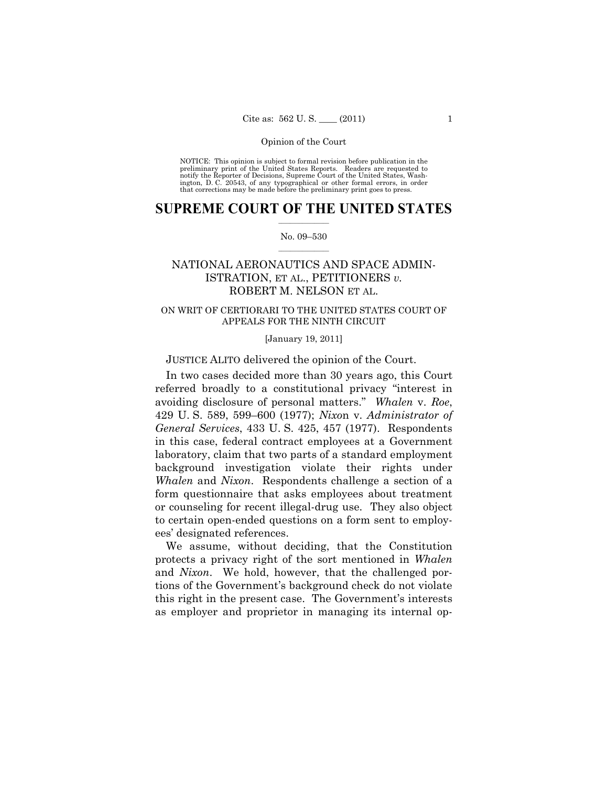NOTICE: This opinion is subject to formal revision before publication in the preliminary print of the United States Reports. Readers are requested to notify the Reporter of Decisions, Supreme Court of the United States, Washington, D. C. 20543, of any typographical or other formal errors, in order that corrections may be made before the preliminary print goes to press.

## **SUPREME COURT OF THE UNITED STATES**  $\frac{1}{2}$  , where  $\frac{1}{2}$

## No. 09–530  $\frac{1}{2}$  ,  $\frac{1}{2}$  ,  $\frac{1}{2}$  ,  $\frac{1}{2}$  ,  $\frac{1}{2}$  ,  $\frac{1}{2}$

# NATIONAL AERONAUTICS AND SPACE ADMIN-ISTRATION, ET AL., PETITIONERS *v.*  ROBERT M. NELSON ET AL.

# ON WRIT OF CERTIORARI TO THE UNITED STATES COURT OF APPEALS FOR THE NINTH CIRCUIT

## [January 19, 2011]

JUSTICE ALITO delivered the opinion of the Court.

 In two cases decided more than 30 years ago, this Court referred broadly to a constitutional privacy "interest in avoiding disclosure of personal matters." *Whalen* v. *Roe*, 429 U. S. 589, 599–600 (1977); *Nixo*n v. *Administrator of General Services*, 433 U. S. 425, 457 (1977). Respondents in this case, federal contract employees at a Government laboratory, claim that two parts of a standard employment background investigation violate their rights under *Whalen* and *Nixon*. Respondents challenge a section of a form questionnaire that asks employees about treatment or counseling for recent illegal-drug use. They also object to certain open-ended questions on a form sent to employees' designated references.

 We assume, without deciding, that the Constitution protects a privacy right of the sort mentioned in *Whalen*  and *Nixon*. We hold, however, that the challenged portions of the Government's background check do not violate this right in the present case. The Government's interests as employer and proprietor in managing its internal op-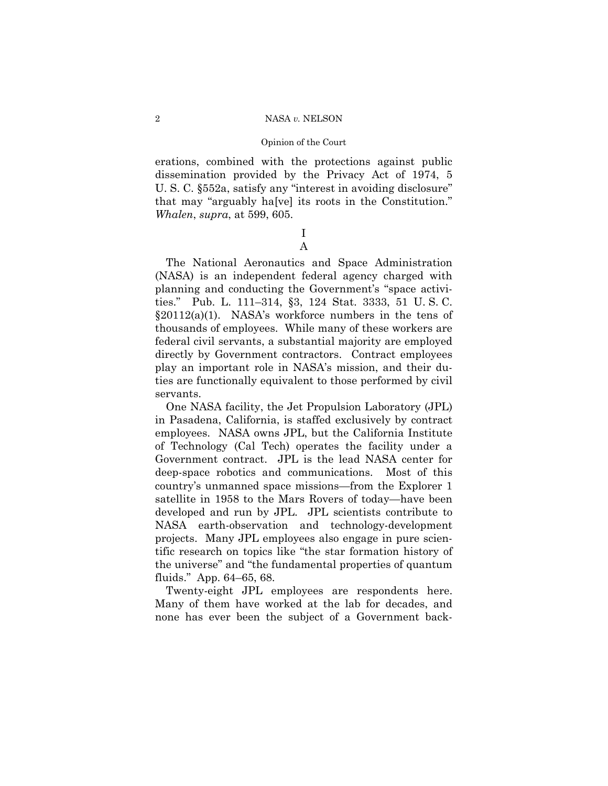## Opinion of the Court

erations, combined with the protections against public dissemination provided by the Privacy Act of 1974, 5 U. S. C. §552a, satisfy any "interest in avoiding disclosure" that may "arguably ha[ve] its roots in the Constitution." *Whalen*, *supra*, at 599, 605.

## I A

 The National Aeronautics and Space Administration (NASA) is an independent federal agency charged with planning and conducting the Government's "space activities." Pub. L. 111–314, §3, 124 Stat. 3333, 51 U. S. C.  $\S20112(a)(1)$ . NASA's workforce numbers in the tens of thousands of employees. While many of these workers are federal civil servants, a substantial majority are employed directly by Government contractors. Contract employees play an important role in NASA's mission, and their duties are functionally equivalent to those performed by civil servants.

 One NASA facility, the Jet Propulsion Laboratory (JPL) in Pasadena, California, is staffed exclusively by contract employees. NASA owns JPL, but the California Institute of Technology (Cal Tech) operates the facility under a Government contract. JPL is the lead NASA center for deep-space robotics and communications. Most of this country's unmanned space missions—from the Explorer 1 satellite in 1958 to the Mars Rovers of today—have been developed and run by JPL. JPL scientists contribute to NASA earth-observation and technology-development projects. Many JPL employees also engage in pure scientific research on topics like "the star formation history of the universe" and "the fundamental properties of quantum fluids." App. 64–65, 68.

 Twenty-eight JPL employees are respondents here. Many of them have worked at the lab for decades, and none has ever been the subject of a Government back-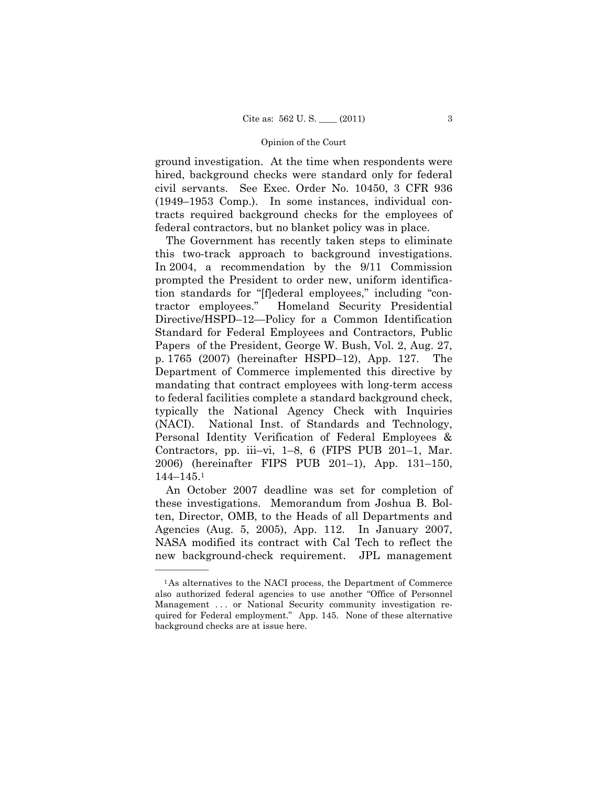ground investigation. At the time when respondents were hired, background checks were standard only for federal civil servants. See Exec. Order No. 10450, 3 CFR 936 (1949–1953 Comp.). In some instances, individual contracts required background checks for the employees of federal contractors, but no blanket policy was in place.

 The Government has recently taken steps to eliminate this two-track approach to background investigations. In 2004, a recommendation by the 9/11 Commission prompted the President to order new, uniform identification standards for "[f]ederal employees," including "contractor employees." Homeland Security Presidential Directive/HSPD–12—Policy for a Common Identification Standard for Federal Employees and Contractors, Public Papers of the President, George W. Bush, Vol. 2, Aug. 27, p. 1765 (2007) (hereinafter HSPD–12), App. 127. The Department of Commerce implemented this directive by mandating that contract employees with long-term access to federal facilities complete a standard background check, typically the National Agency Check with Inquiries (NACI). National Inst. of Standards and Technology, Personal Identity Verification of Federal Employees & Contractors, pp. iii–vi, 1–8, 6 (FIPS PUB 201–1, Mar. 2006) (hereinafter FIPS PUB 201–1), App. 131–150, 144–145.1

 An October 2007 deadline was set for completion of these investigations. Memorandum from Joshua B. Bolten, Director, OMB, to the Heads of all Departments and Agencies (Aug. 5, 2005), App. 112. In January 2007, NASA modified its contract with Cal Tech to reflect the new background-check requirement. JPL management

<sup>1</sup>As alternatives to the NACI process, the Department of Commerce also authorized federal agencies to use another "Office of Personnel Management ... or National Security community investigation required for Federal employment." App. 145. None of these alternative background checks are at issue here.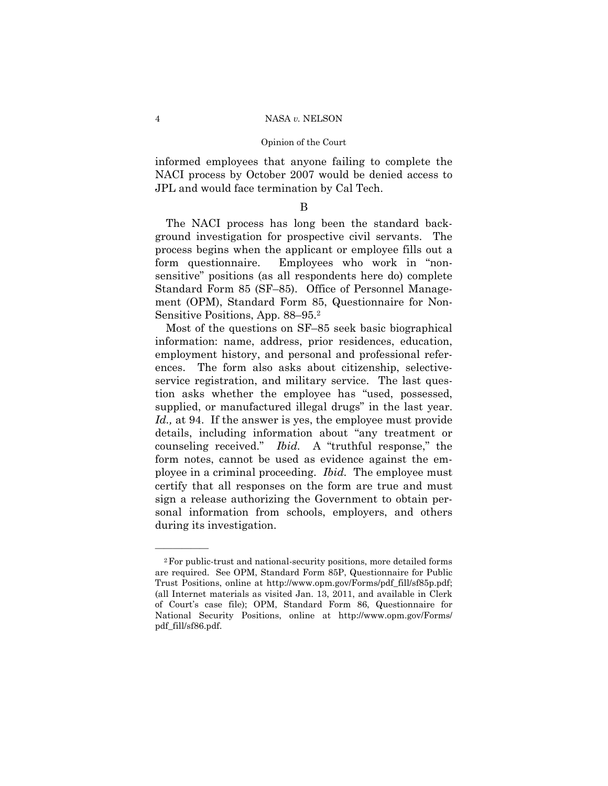informed employees that anyone failing to complete the NACI process by October 2007 would be denied access to JPL and would face termination by Cal Tech.

B

 The NACI process has long been the standard background investigation for prospective civil servants. The process begins when the applicant or employee fills out a form questionnaire. Employees who work in "nonsensitive" positions (as all respondents here do) complete Standard Form 85 (SF–85). Office of Personnel Management (OPM), Standard Form 85, Questionnaire for Non-Sensitive Positions, App. 88–95.2

 Most of the questions on SF–85 seek basic biographical information: name, address, prior residences, education, employment history, and personal and professional references. The form also asks about citizenship, selectiveservice registration, and military service. The last question asks whether the employee has "used, possessed, supplied, or manufactured illegal drugs" in the last year. *Id.,* at 94. If the answer is yes, the employee must provide details, including information about "any treatment or counseling received." *Ibid.* A "truthful response," the form notes, cannot be used as evidence against the employee in a criminal proceeding. *Ibid.* The employee must certify that all responses on the form are true and must sign a release authorizing the Government to obtain personal information from schools, employers, and others during its investigation.

<sup>2</sup>For public-trust and national-security positions, more detailed forms are required. See OPM, Standard Form 85P, Questionnaire for Public Trust Positions, online at http://www.opm.gov/Forms/pdf\_fill/sf85p.pdf; (all Internet materials as visited Jan. 13, 2011, and available in Clerk of Court's case file); OPM, Standard Form 86, Questionnaire for National Security Positions, online at http://www.opm.gov/Forms/ pdf\_fill/sf86.pdf.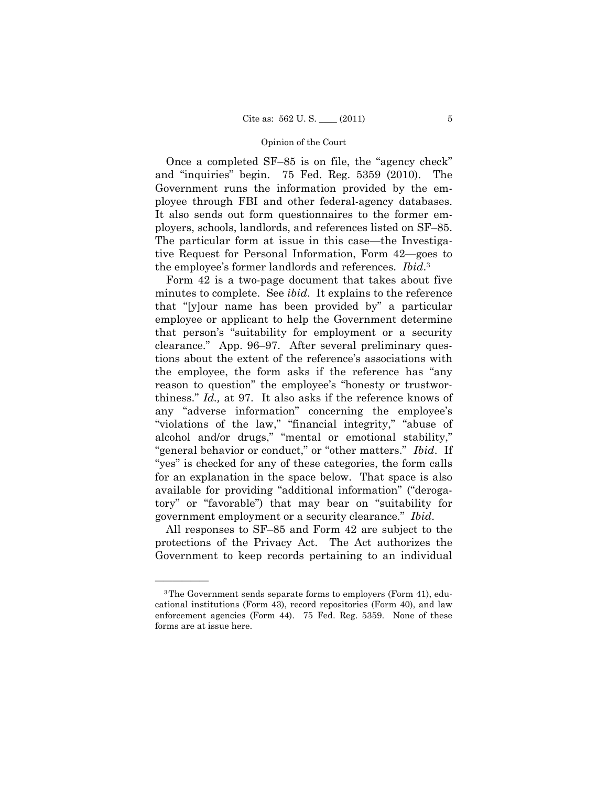Once a completed SF–85 is on file, the "agency check" and "inquiries" begin. 75 Fed. Reg. 5359 (2010). The Government runs the information provided by the employee through FBI and other federal-agency databases. It also sends out form questionnaires to the former employers, schools, landlords, and references listed on SF–85. The particular form at issue in this case—the Investigative Request for Personal Information, Form 42—goes to the employee's former landlords and references. *Ibid*.3

 Form 42 is a two-page document that takes about five minutes to complete. See *ibid*. It explains to the reference that "[y]our name has been provided by" a particular employee or applicant to help the Government determine that person's "suitability for employment or a security clearance." App. 96–97. After several preliminary questions about the extent of the reference's associations with the employee, the form asks if the reference has "any reason to question" the employee's "honesty or trustworthiness." *Id.,* at 97. It also asks if the reference knows of any "adverse information" concerning the employee's "violations of the law," "financial integrity," "abuse of alcohol and/or drugs," "mental or emotional stability," "general behavior or conduct," or "other matters." *Ibid*. If "yes" is checked for any of these categories, the form calls for an explanation in the space below. That space is also available for providing "additional information" ("derogatory" or "favorable") that may bear on "suitability for government employment or a security clearance." *Ibid*.

 All responses to SF–85 and Form 42 are subject to the protections of the Privacy Act. The Act authorizes the Government to keep records pertaining to an individual

<sup>3</sup>The Government sends separate forms to employers (Form 41), educational institutions (Form 43), record repositories (Form 40), and law enforcement agencies (Form 44). 75 Fed. Reg. 5359. None of these forms are at issue here.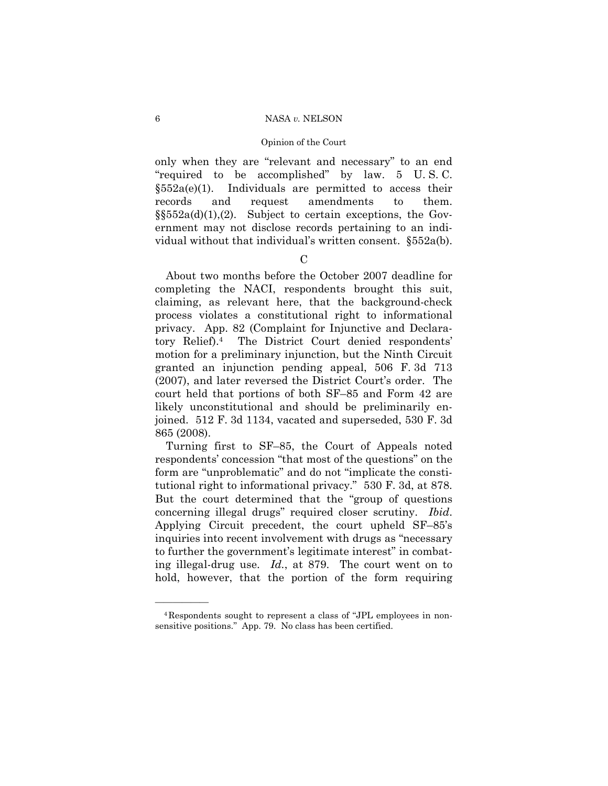only when they are "relevant and necessary" to an end "required to be accomplished" by law. 5 U. S. C.  $§552a(e)(1)$ . Individuals are permitted to access their records and request amendments to them.  $\S552a(d)(1),(2)$ . Subject to certain exceptions, the Government may not disclose records pertaining to an individual without that individual's written consent. §552a(b).

 $\mathcal{C}$ 

 About two months before the October 2007 deadline for completing the NACI, respondents brought this suit, claiming, as relevant here, that the background-check process violates a constitutional right to informational privacy. App. 82 (Complaint for Injunctive and Declaratory Relief).4 The District Court denied respondents' motion for a preliminary injunction, but the Ninth Circuit granted an injunction pending appeal, 506 F. 3d 713 (2007), and later reversed the District Court's order. The court held that portions of both SF–85 and Form 42 are likely unconstitutional and should be preliminarily enjoined. 512 F. 3d 1134, vacated and superseded, 530 F. 3d 865 (2008).

 Turning first to SF–85, the Court of Appeals noted respondents' concession "that most of the questions" on the form are "unproblematic" and do not "implicate the constitutional right to informational privacy." 530 F. 3d, at 878. But the court determined that the "group of questions concerning illegal drugs" required closer scrutiny. *Ibid*. Applying Circuit precedent, the court upheld SF–85's inquiries into recent involvement with drugs as "necessary to further the government's legitimate interest" in combating illegal-drug use. *Id.*, at 879. The court went on to hold, however, that the portion of the form requiring

<sup>4</sup>Respondents sought to represent a class of "JPL employees in nonsensitive positions." App. 79. No class has been certified.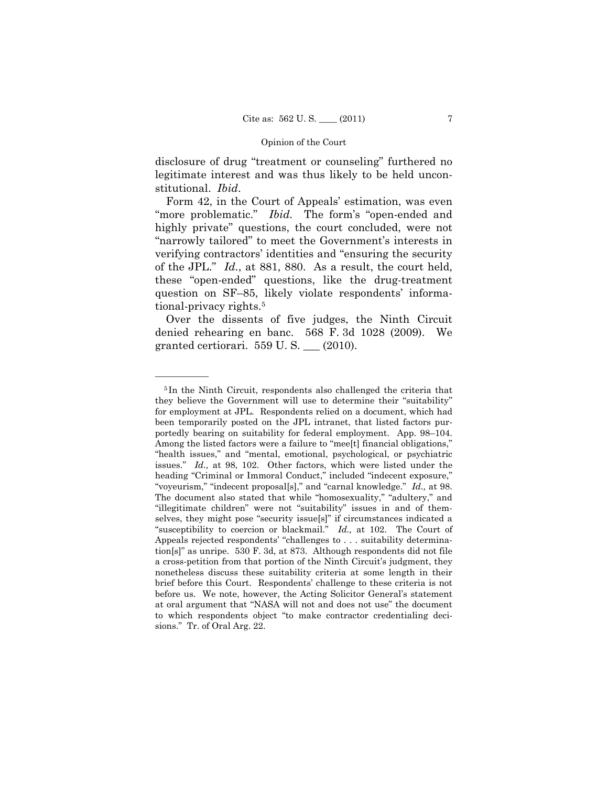disclosure of drug "treatment or counseling" furthered no legitimate interest and was thus likely to be held unconstitutional. *Ibid*.

 Form 42, in the Court of Appeals' estimation, was even "more problematic." *Ibid.* The form's "open-ended and highly private" questions, the court concluded, were not "narrowly tailored" to meet the Government's interests in verifying contractors' identities and "ensuring the security of the JPL." *Id.*, at 881, 880. As a result, the court held, these "open-ended" questions, like the drug-treatment question on SF–85, likely violate respondents' informational-privacy rights.5

 Over the dissents of five judges, the Ninth Circuit denied rehearing en banc. 568 F. 3d 1028 (2009). We granted certiorari. 559 U. S. \_\_\_ (2010).

<sup>5</sup> In the Ninth Circuit, respondents also challenged the criteria that they believe the Government will use to determine their "suitability" for employment at JPL. Respondents relied on a document, which had been temporarily posted on the JPL intranet, that listed factors purportedly bearing on suitability for federal employment. App. 98–104. Among the listed factors were a failure to "mee[t] financial obligations," "health issues," and "mental, emotional, psychological, or psychiatric issues." *Id.,* at 98, 102. Other factors, which were listed under the heading "Criminal or Immoral Conduct," included "indecent exposure," "voyeurism," "indecent proposal[s]," and "carnal knowledge." *Id.,* at 98. The document also stated that while "homosexuality," "adultery," and "illegitimate children" were not "suitability" issues in and of themselves, they might pose "security issue[s]" if circumstances indicated a "susceptibility to coercion or blackmail." *Id.,* at 102. The Court of Appeals rejected respondents' "challenges to . . . suitability determination[s]" as unripe. 530 F. 3d, at 873. Although respondents did not file a cross-petition from that portion of the Ninth Circuit's judgment, they nonetheless discuss these suitability criteria at some length in their brief before this Court. Respondents' challenge to these criteria is not before us. We note, however, the Acting Solicitor General's statement at oral argument that "NASA will not and does not use" the document to which respondents object "to make contractor credentialing decisions." Tr. of Oral Arg. 22.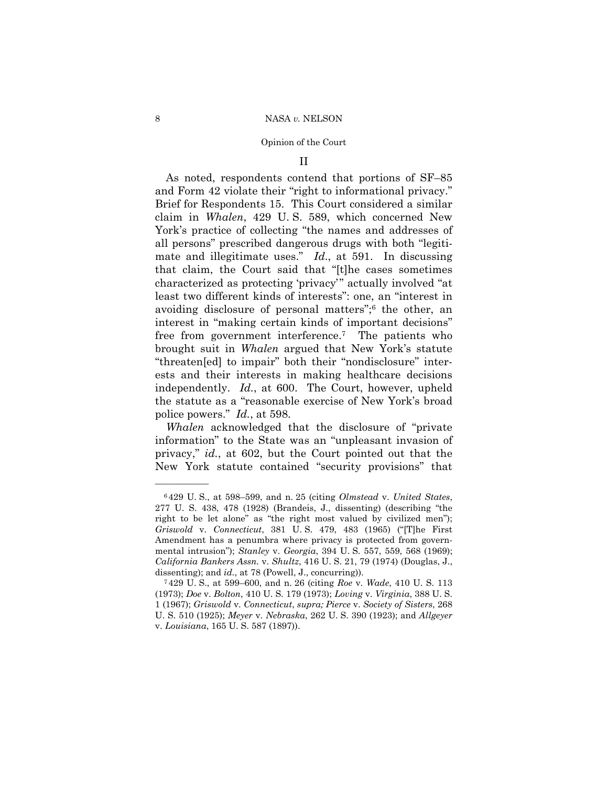II

 As noted, respondents contend that portions of SF–85 and Form 42 violate their "right to informational privacy." Brief for Respondents 15. This Court considered a similar claim in *Whalen*, 429 U. S. 589, which concerned New York's practice of collecting "the names and addresses of all persons" prescribed dangerous drugs with both "legitimate and illegitimate uses." *Id*., at 591. In discussing that claim, the Court said that "[t]he cases sometimes characterized as protecting 'privacy'" actually involved "at least two different kinds of interests": one, an "interest in avoiding disclosure of personal matters";6 the other, an interest in "making certain kinds of important decisions" free from government interference.7 The patients who brought suit in *Whalen* argued that New York's statute "threaten[ed] to impair" both their "nondisclosure" interests and their interests in making healthcare decisions independently. *Id.*, at 600. The Court, however, upheld the statute as a "reasonable exercise of New York's broad police powers." *Id.*, at 598.

*Whalen* acknowledged that the disclosure of "private information" to the State was an "unpleasant invasion of privacy," *id.*, at 602, but the Court pointed out that the New York statute contained "security provisions" that

<sup>6</sup> 429 U. S., at 598–599, and n. 25 (citing *Olmstead* v. *United States*, 277 U. S. 438, 478 (1928) (Brandeis, J., dissenting) (describing "the right to be let alone" as "the right most valued by civilized men"); *Griswold* v. *Connecticut*, 381 U. S. 479, 483 (1965) ("[T]he First Amendment has a penumbra where privacy is protected from governmental intrusion"); *Stanley* v. *Georgia*, 394 U. S. 557, 559, 568 (1969); *California Bankers Assn.* v. *Shultz*, 416 U. S. 21, 79 (1974) (Douglas, J.,

dissenting); and *id.*, at 78 (Powell, J., concurring)). 7 429 U. S., at 599–600, and n. 26 (citing *Roe* v. *Wade*, 410 U. S. 113 (1973); *Doe* v. *Bolton*, 410 U. S. 179 (1973); *Loving* v. *Virginia*, 388 U. S. 1 (1967); *Griswold* v. *Connecticut*, *supra; Pierce* v. *Society of Sisters*, 268 U. S. 510 (1925); *Meyer* v. *Nebraska*, 262 U. S. 390 (1923); and *Allgeyer*  v. *Louisiana*, 165 U. S. 587 (1897)).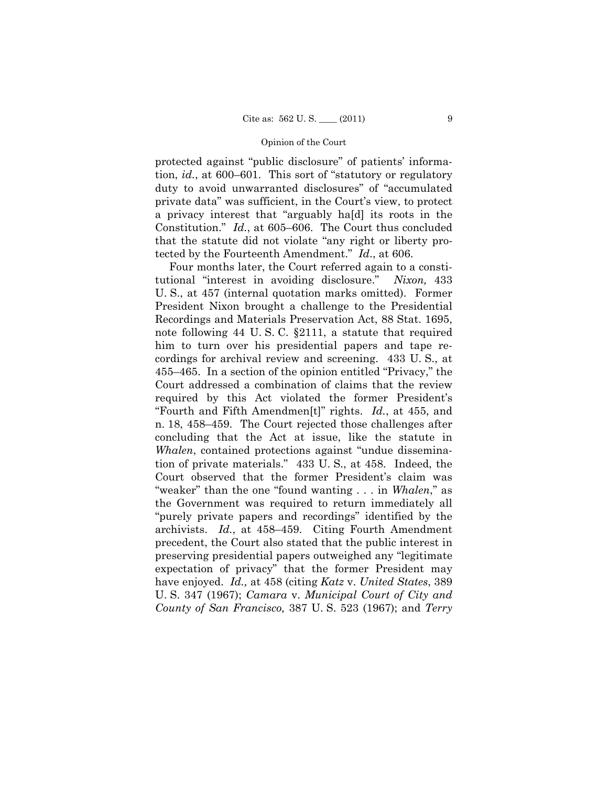protected against "public disclosure" of patients' information, *id.*, at 600–601. This sort of "statutory or regulatory duty to avoid unwarranted disclosures" of "accumulated private data" was sufficient, in the Court's view, to protect a privacy interest that "arguably ha[d] its roots in the Constitution." *Id.*, at 605–606. The Court thus concluded that the statute did not violate "any right or liberty protected by the Fourteenth Amendment." *Id*., at 606.

 Four months later, the Court referred again to a constitutional "interest in avoiding disclosure." *Nixon,* 433 U. S., at 457 (internal quotation marks omitted). Former President Nixon brought a challenge to the Presidential Recordings and Materials Preservation Act, 88 Stat. 1695, note following 44 U. S. C. §2111, a statute that required him to turn over his presidential papers and tape recordings for archival review and screening. 433 U. S., at 455–465. In a section of the opinion entitled "Privacy," the Court addressed a combination of claims that the review required by this Act violated the former President's "Fourth and Fifth Amendmen[t]" rights. *Id.*, at 455, and n. 18, 458–459. The Court rejected those challenges after concluding that the Act at issue, like the statute in *Whalen*, contained protections against "undue dissemination of private materials." 433 U. S., at 458. Indeed, the Court observed that the former President's claim was "weaker" than the one "found wanting . . . in *Whalen*," as the Government was required to return immediately all "purely private papers and recordings" identified by the archivists. *Id.*, at 458–459. Citing Fourth Amendment precedent, the Court also stated that the public interest in preserving presidential papers outweighed any "legitimate expectation of privacy" that the former President may have enjoyed. *Id.,* at 458 (citing *Katz* v. *United States*, 389 U. S. 347 (1967); *Camara* v. *Municipal Court of City and County of San Francisco,* 387 U. S. 523 (1967); and *Terry*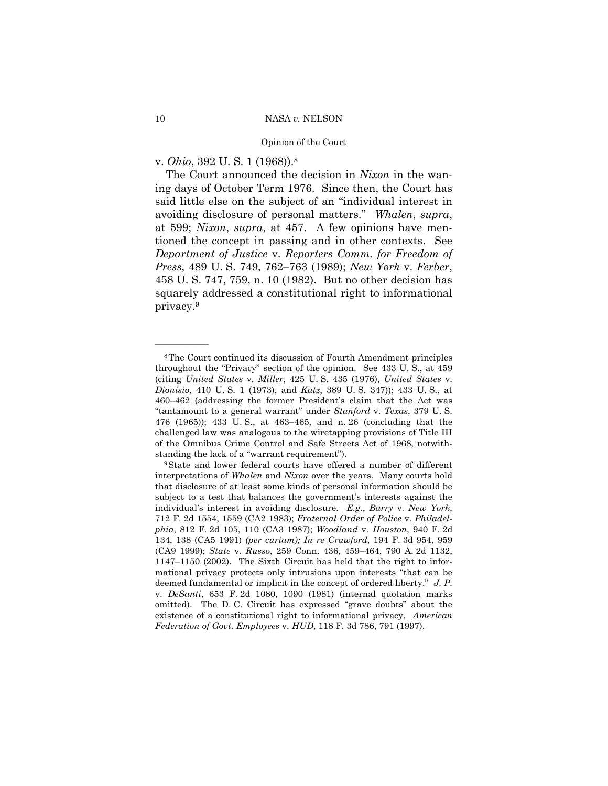v. *Ohio*, 392 U. S. 1 (1968)).8

 The Court announced the decision in *Nixon* in the waning days of October Term 1976. Since then, the Court has said little else on the subject of an "individual interest in avoiding disclosure of personal matters." *Whalen*, *supra*, at 599; *Nixon*, *supra*, at 457. A few opinions have mentioned the concept in passing and in other contexts. See *Department of Justice* v. *Reporters Comm. for Freedom of Press*, 489 U. S. 749, 762–763 (1989); *New York* v. *Ferber*, 458 U. S. 747, 759, n. 10 (1982). But no other decision has squarely addressed a constitutional right to informational privacy.9

<sup>8</sup>The Court continued its discussion of Fourth Amendment principles throughout the "Privacy" section of the opinion. See 433 U. S., at 459 (citing *United States* v. *Miller*, 425 U. S. 435 (1976), *United States* v. *Dionisio*, 410 U. S. 1 (1973), and *Katz*, 389 U. S. 347)); 433 U. S., at 460–462 (addressing the former President's claim that the Act was "tantamount to a general warrant" under *Stanford* v. *Texas*, 379 U. S. 476 (1965)); 433 U. S., at 463–465, and n. 26 (concluding that the challenged law was analogous to the wiretapping provisions of Title III of the Omnibus Crime Control and Safe Streets Act of 1968, notwith-

standing the lack of a "warrant requirement"). 9State and lower federal courts have offered a number of different interpretations of *Whalen* and *Nixon* over the years. Many courts hold that disclosure of at least some kinds of personal information should be subject to a test that balances the government's interests against the individual's interest in avoiding disclosure. *E.g.*, *Barry* v. *New York*, 712 F. 2d 1554, 1559 (CA2 1983); *Fraternal Order of Police* v. *Philadelphia*, 812 F. 2d 105, 110 (CA3 1987); *Woodland* v. *Houston*, 940 F. 2d 134, 138 (CA5 1991) *(per curiam); In re Crawford*, 194 F. 3d 954, 959 (CA9 1999); *State* v. *Russo*, 259 Conn. 436, 459–464, 790 A. 2d 1132, 1147–1150 (2002). The Sixth Circuit has held that the right to informational privacy protects only intrusions upon interests "that can be deemed fundamental or implicit in the concept of ordered liberty." *J. P.*  v. *DeSanti*, 653 F. 2d 1080, 1090 (1981) (internal quotation marks omitted). The D. C. Circuit has expressed "grave doubts" about the existence of a constitutional right to informational privacy. *American Federation of Govt. Employees* v. *HUD*, 118 F. 3d 786, 791 (1997).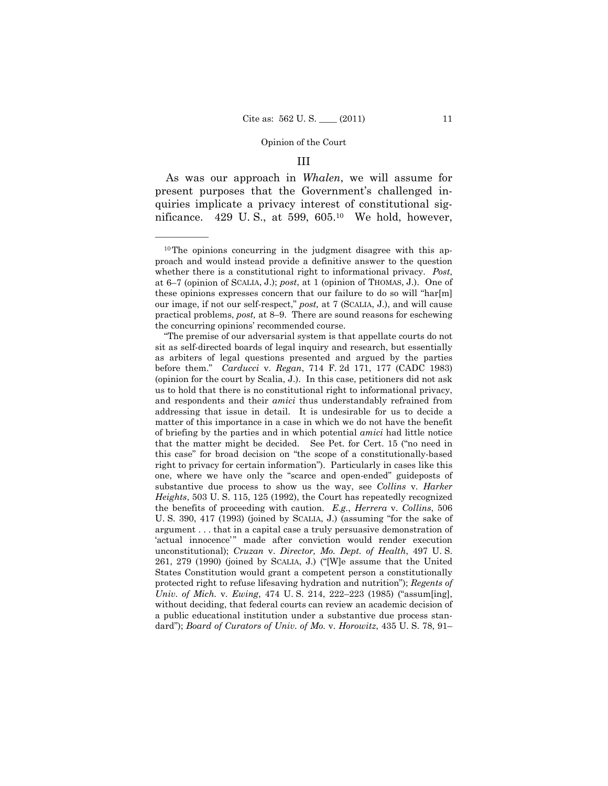## III

 As was our approach in *Whalen*, we will assume for present purposes that the Government's challenged inquiries implicate a privacy interest of constitutional significance. 429 U.S., at 599,  $605<sup>10</sup>$  We hold, however,

<sup>10</sup>The opinions concurring in the judgment disagree with this approach and would instead provide a definitive answer to the question whether there is a constitutional right to informational privacy. *Post*, at 6–7 (opinion of SCALIA, J.); *post*, at 1 (opinion of THOMAS, J.). One of these opinions expresses concern that our failure to do so will "har[m] our image, if not our self-respect," *post,* at 7 (SCALIA, J.), and will cause practical problems, *post,* at 8–9. There are sound reasons for eschewing the concurring opinions' recommended course.

 <sup>&</sup>quot;The premise of our adversarial system is that appellate courts do not sit as self-directed boards of legal inquiry and research, but essentially as arbiters of legal questions presented and argued by the parties before them." *Carducci* v. *Regan*, 714 F. 2d 171, 177 (CADC 1983) (opinion for the court by Scalia, J.). In this case, petitioners did not ask us to hold that there is no constitutional right to informational privacy, and respondents and their *amici* thus understandably refrained from addressing that issue in detail. It is undesirable for us to decide a matter of this importance in a case in which we do not have the benefit of briefing by the parties and in which potential *amici* had little notice that the matter might be decided. See Pet. for Cert. 15 ("no need in this case" for broad decision on "the scope of a constitutionally-based right to privacy for certain information"). Particularly in cases like this one, where we have only the "scarce and open-ended" guideposts of substantive due process to show us the way, see *Collins* v. *Harker Heights*, 503 U. S. 115, 125 (1992), the Court has repeatedly recognized the benefits of proceeding with caution. *E.g.*, *Herrera* v. *Collins*, 506 U. S. 390, 417 (1993) (joined by SCALIA, J.) (assuming "for the sake of argument . . . that in a capital case a truly persuasive demonstration of 'actual innocence'" made after conviction would render execution unconstitutional); *Cruzan* v. *Director, Mo. Dept. of Health*, 497 U. S. 261, 279 (1990) (joined by SCALIA, J.) ("[W]e assume that the United States Constitution would grant a competent person a constitutionally protected right to refuse lifesaving hydration and nutrition"); *Regents of Univ. of Mich.* v. *Ewing*, 474 U. S. 214, 222–223 (1985) ("assum[ing], without deciding, that federal courts can review an academic decision of a public educational institution under a substantive due process standard"); *Board of Curators of Univ. of Mo.* v. *Horowitz*, 435 U. S. 78, 91–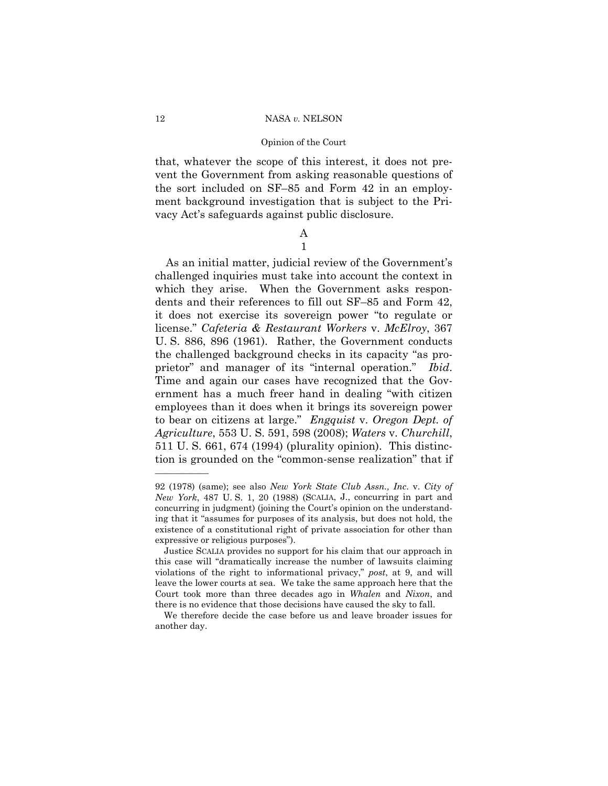## Opinion of the Court

that, whatever the scope of this interest, it does not prevent the Government from asking reasonable questions of the sort included on SF–85 and Form 42 in an employment background investigation that is subject to the Privacy Act's safeguards against public disclosure.

## A 1

 As an initial matter, judicial review of the Government's challenged inquiries must take into account the context in which they arise. When the Government asks respondents and their references to fill out SF–85 and Form 42, it does not exercise its sovereign power "to regulate or license." *Cafeteria & Restaurant Workers* v. *McElroy*, 367 U. S. 886, 896 (1961). Rather, the Government conducts the challenged background checks in its capacity "as proprietor" and manager of its "internal operation." *Ibid*. Time and again our cases have recognized that the Government has a much freer hand in dealing "with citizen employees than it does when it brings its sovereign power to bear on citizens at large." *Engquist* v. *Oregon Dept. of Agriculture*, 553 U. S. 591, 598 (2008); *Waters* v. *Churchill*, 511 U. S. 661, 674 (1994) (plurality opinion). This distinction is grounded on the "common-sense realization" that if

<sup>92 (1978) (</sup>same); see also *New York State Club Assn., Inc*. v. *City of New York*, 487 U. S. 1, 20 (1988) (SCALIA, J., concurring in part and concurring in judgment) (joining the Court's opinion on the understanding that it "assumes for purposes of its analysis, but does not hold, the existence of a constitutional right of private association for other than expressive or religious purposes").

Justice SCALIA provides no support for his claim that our approach in this case will "dramatically increase the number of lawsuits claiming violations of the right to informational privacy," *post*, at 9, and will leave the lower courts at sea. We take the same approach here that the Court took more than three decades ago in *Whalen* and *Nixon*, and there is no evidence that those decisions have caused the sky to fall.

We therefore decide the case before us and leave broader issues for another day.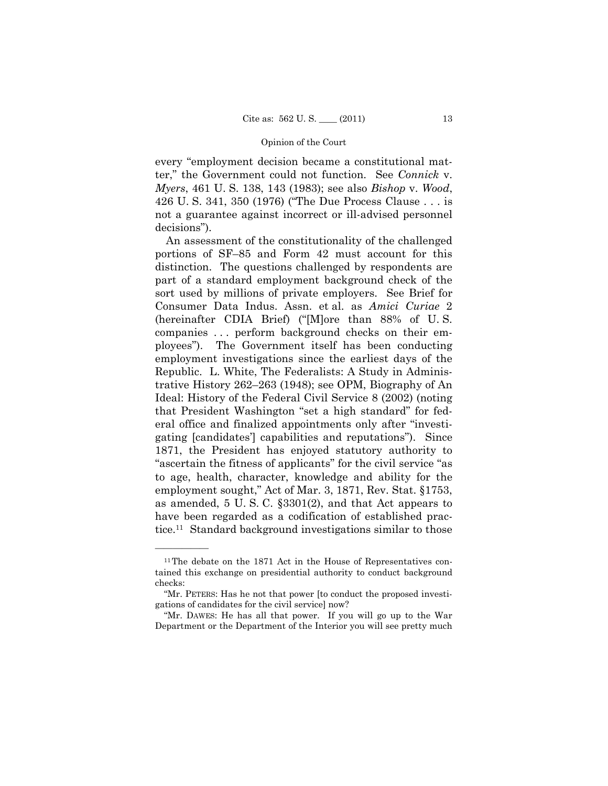every "employment decision became a constitutional matter," the Government could not function. See *Connick* v. *Myers*, 461 U. S. 138, 143 (1983); see also *Bishop* v. *Wood*, 426 U. S. 341, 350 (1976) ("The Due Process Clause . . . is not a guarantee against incorrect or ill-advised personnel decisions").

 An assessment of the constitutionality of the challenged portions of SF–85 and Form 42 must account for this distinction. The questions challenged by respondents are part of a standard employment background check of the sort used by millions of private employers. See Brief for Consumer Data Indus. Assn. et al. as *Amici Curiae* 2 (hereinafter CDIA Brief) ("[M]ore than 88% of U. S. companies . . . perform background checks on their employees"). The Government itself has been conducting employment investigations since the earliest days of the Republic. L. White, The Federalists: A Study in Administrative History 262–263 (1948); see OPM, Biography of An Ideal: History of the Federal Civil Service 8 (2002) (noting that President Washington "set a high standard" for federal office and finalized appointments only after "investigating [candidates'] capabilities and reputations"). Since 1871, the President has enjoyed statutory authority to "ascertain the fitness of applicants" for the civil service "as to age, health, character, knowledge and ability for the employment sought," Act of Mar. 3, 1871, Rev. Stat. §1753, as amended, 5 U. S. C. §3301(2), and that Act appears to have been regarded as a codification of established practice.11 Standard background investigations similar to those

<sup>&</sup>lt;sup>11</sup>The debate on the 1871 Act in the House of Representatives contained this exchange on presidential authority to conduct background checks:

 <sup>&</sup>quot;Mr. PETERS: Has he not that power [to conduct the proposed investigations of candidates for the civil service] now?

 <sup>&</sup>quot;Mr. DAWES: He has all that power. If you will go up to the War Department or the Department of the Interior you will see pretty much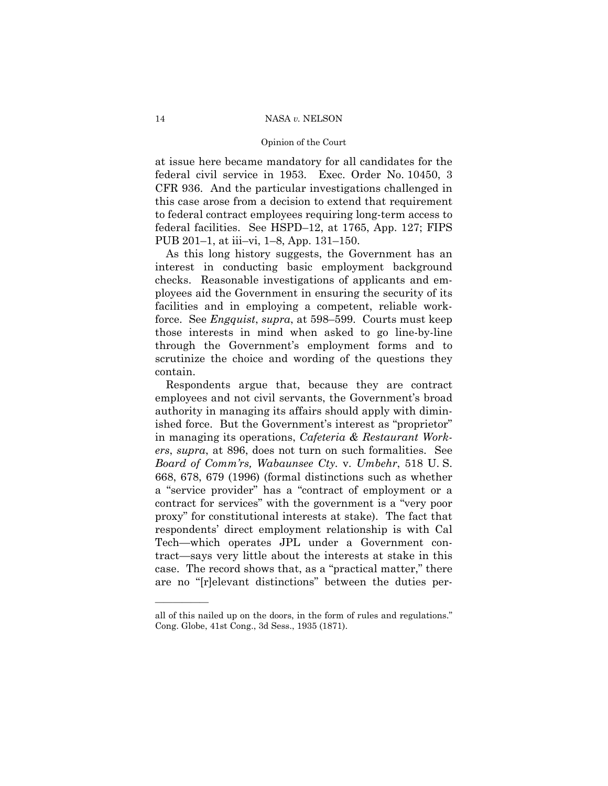at issue here became mandatory for all candidates for the federal civil service in 1953. Exec. Order No. 10450, 3 CFR 936. And the particular investigations challenged in this case arose from a decision to extend that requirement to federal contract employees requiring long-term access to federal facilities. See HSPD–12, at 1765, App. 127; FIPS PUB 201–1, at iii–vi, 1–8, App. 131–150.

 As this long history suggests, the Government has an interest in conducting basic employment background checks. Reasonable investigations of applicants and employees aid the Government in ensuring the security of its facilities and in employing a competent, reliable workforce. See *Engquist*, *supra*, at 598–599. Courts must keep those interests in mind when asked to go line-by-line through the Government's employment forms and to scrutinize the choice and wording of the questions they contain.

 Respondents argue that, because they are contract employees and not civil servants, the Government's broad authority in managing its affairs should apply with diminished force. But the Government's interest as "proprietor" in managing its operations, *Cafeteria & Restaurant Workers*, *supra*, at 896, does not turn on such formalities. See *Board of Comm'rs, Wabaunsee Cty.* v. *Umbehr*, 518 U. S. 668, 678, 679 (1996) (formal distinctions such as whether a "service provider" has a "contract of employment or a contract for services" with the government is a "very poor proxy" for constitutional interests at stake). The fact that respondents' direct employment relationship is with Cal Tech—which operates JPL under a Government contract—says very little about the interests at stake in this case. The record shows that, as a "practical matter," there are no "[r]elevant distinctions" between the duties per-

all of this nailed up on the doors, in the form of rules and regulations." Cong. Globe, 41st Cong., 3d Sess., 1935 (1871).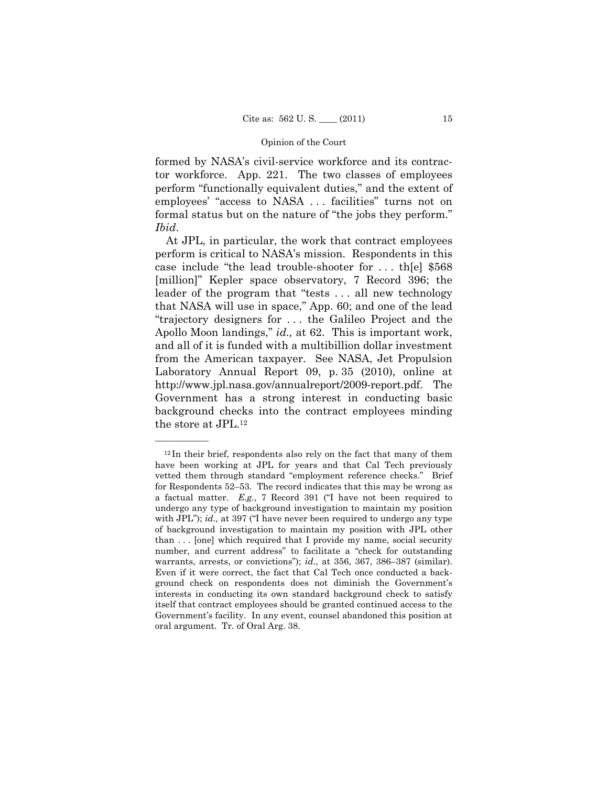formed by NASA's civil-service workforce and its contractor workforce. App. 221. The two classes of employees perform "functionally equivalent duties," and the extent of employees' "access to NASA . . . facilities" turns not on formal status but on the nature of "the jobs they perform." *Ibid*.

 At JPL, in particular, the work that contract employees perform is critical to NASA's mission. Respondents in this case include "the lead trouble-shooter for . . . th[e] \$568 [million]" Kepler space observatory, 7 Record 396; the leader of the program that "tests . . . all new technology that NASA will use in space," App. 60; and one of the lead "trajectory designers for . . . the Galileo Project and the Apollo Moon landings," *id.,* at 62. This is important work, and all of it is funded with a multibillion dollar investment from the American taxpayer. See NASA, Jet Propulsion Laboratory Annual Report 09, p. 35 (2010), online at http://www.jpl.nasa.gov/annualreport/2009-report.pdf. The Government has a strong interest in conducting basic background checks into the contract employees minding the store at JPL.12

 $12$  In their brief, respondents also rely on the fact that many of them have been working at JPL for years and that Cal Tech previously vetted them through standard "employment reference checks." Brief for Respondents 52–53. The record indicates that this may be wrong as a factual matter. *E.g.*, 7 Record 391 ("I have not been required to undergo any type of background investigation to maintain my position with JPL"); *id.*, at 397 ("I have never been required to undergo any type of background investigation to maintain my position with JPL other than . . . [one] which required that I provide my name, social security number, and current address" to facilitate a "check for outstanding warrants, arrests, or convictions"); *id*., at 356, 367, 386–387 (similar). Even if it were correct, the fact that Cal Tech once conducted a background check on respondents does not diminish the Government's interests in conducting its own standard background check to satisfy itself that contract employees should be granted continued access to the Government's facility. In any event, counsel abandoned this position at oral argument. Tr. of Oral Arg. 38.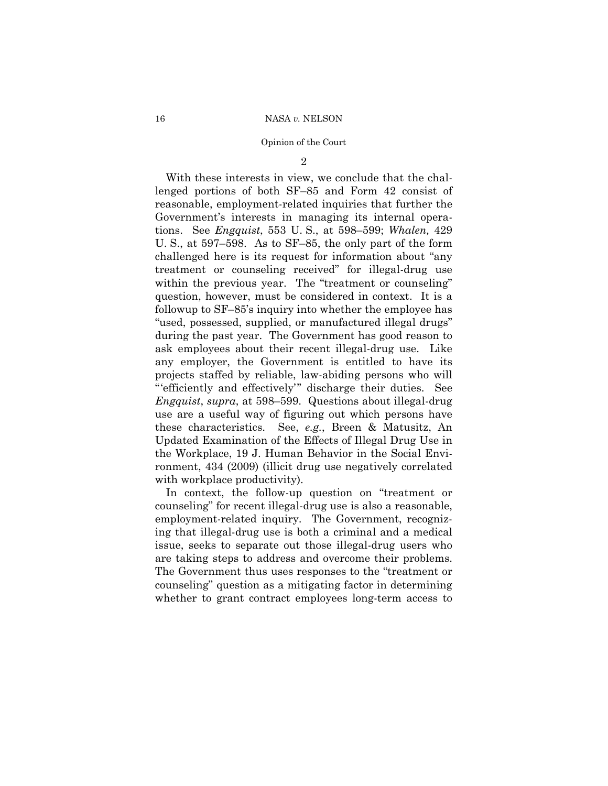2

 With these interests in view, we conclude that the challenged portions of both SF–85 and Form 42 consist of reasonable, employment-related inquiries that further the Government's interests in managing its internal operations. See *Engquist*, 553 U. S., at 598–599; *Whalen,* 429 U. S., at 597–598. As to SF–85, the only part of the form challenged here is its request for information about "any treatment or counseling received" for illegal-drug use within the previous year. The "treatment or counseling" question, however, must be considered in context. It is a followup to SF–85's inquiry into whether the employee has "used, possessed, supplied, or manufactured illegal drugs" during the past year. The Government has good reason to ask employees about their recent illegal-drug use. Like any employer, the Government is entitled to have its projects staffed by reliable, law-abiding persons who will "'efficiently and effectively'" discharge their duties. See *Engquist*, *supra*, at 598–599. Questions about illegal-drug use are a useful way of figuring out which persons have these characteristics. See, *e.g.*, Breen & Matusitz, An Updated Examination of the Effects of Illegal Drug Use in the Workplace, 19 J. Human Behavior in the Social Environment, 434 (2009) (illicit drug use negatively correlated with workplace productivity).

 In context, the follow-up question on "treatment or counseling" for recent illegal-drug use is also a reasonable, employment-related inquiry. The Government, recognizing that illegal-drug use is both a criminal and a medical issue, seeks to separate out those illegal-drug users who are taking steps to address and overcome their problems. The Government thus uses responses to the "treatment or counseling" question as a mitigating factor in determining whether to grant contract employees long-term access to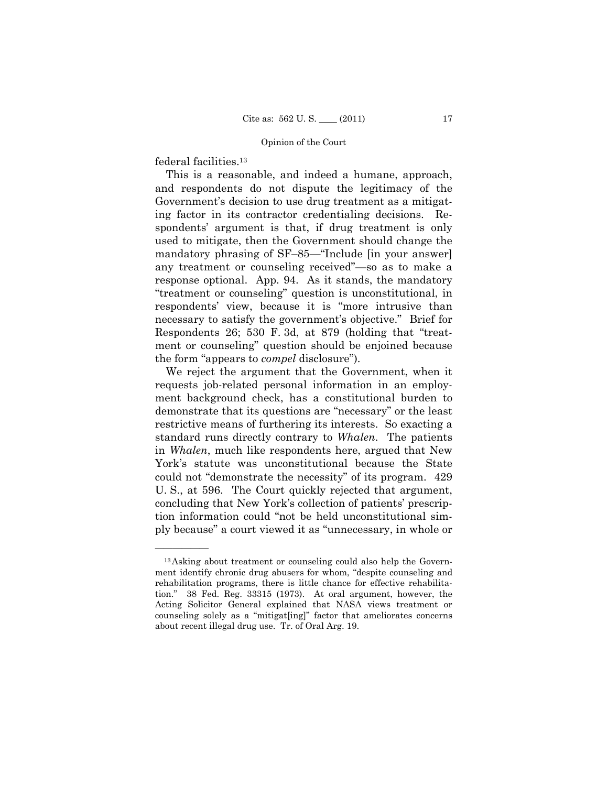federal facilities.13

——————

 This is a reasonable, and indeed a humane, approach, and respondents do not dispute the legitimacy of the Government's decision to use drug treatment as a mitigating factor in its contractor credentialing decisions. Respondents' argument is that, if drug treatment is only used to mitigate, then the Government should change the mandatory phrasing of SF–85—"Include [in your answer] any treatment or counseling received"—so as to make a response optional. App. 94. As it stands, the mandatory "treatment or counseling" question is unconstitutional, in respondents' view, because it is "more intrusive than necessary to satisfy the government's objective." Brief for Respondents 26; 530 F. 3d, at 879 (holding that "treatment or counseling" question should be enjoined because the form "appears to *compel* disclosure").

 We reject the argument that the Government, when it requests job-related personal information in an employment background check, has a constitutional burden to demonstrate that its questions are "necessary" or the least restrictive means of furthering its interests. So exacting a standard runs directly contrary to *Whalen*. The patients in *Whalen*, much like respondents here, argued that New York's statute was unconstitutional because the State could not "demonstrate the necessity" of its program. 429 U. S., at 596. The Court quickly rejected that argument, concluding that New York's collection of patients' prescription information could "not be held unconstitutional simply because" a court viewed it as "unnecessary, in whole or

<sup>13</sup>Asking about treatment or counseling could also help the Government identify chronic drug abusers for whom, "despite counseling and rehabilitation programs, there is little chance for effective rehabilitation." 38 Fed. Reg. 33315 (1973). At oral argument, however, the Acting Solicitor General explained that NASA views treatment or counseling solely as a "mitigat[ing]" factor that ameliorates concerns about recent illegal drug use. Tr. of Oral Arg. 19.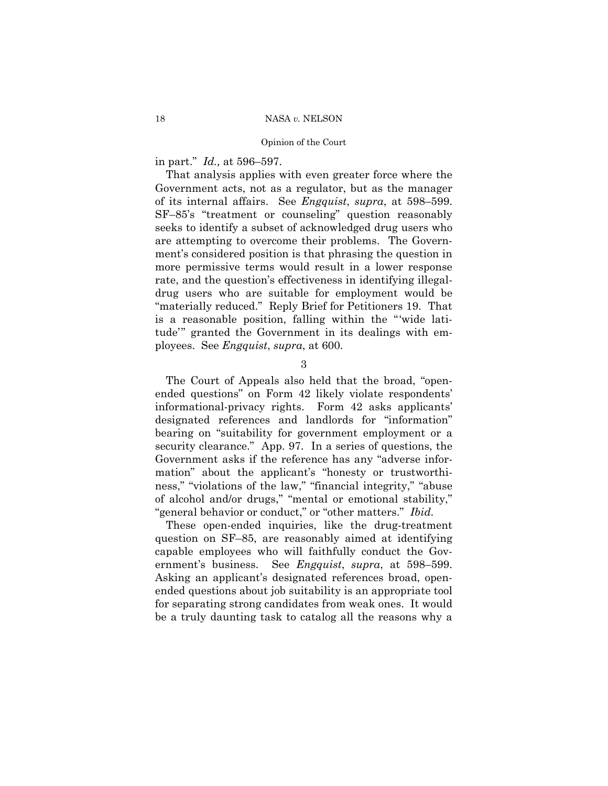in part." *Id.,* at 596–597.

 That analysis applies with even greater force where the Government acts, not as a regulator, but as the manager of its internal affairs. See *Engquist*, *supra*, at 598–599. SF–85's "treatment or counseling" question reasonably seeks to identify a subset of acknowledged drug users who are attempting to overcome their problems. The Government's considered position is that phrasing the question in more permissive terms would result in a lower response rate, and the question's effectiveness in identifying illegaldrug users who are suitable for employment would be "materially reduced." Reply Brief for Petitioners 19. That is a reasonable position, falling within the "'wide latitude'" granted the Government in its dealings with employees. See *Engquist*, *supra*, at 600.

3

 The Court of Appeals also held that the broad, "openended questions" on Form 42 likely violate respondents' informational-privacy rights. Form 42 asks applicants' designated references and landlords for "information" bearing on "suitability for government employment or a security clearance." App. 97. In a series of questions, the Government asks if the reference has any "adverse information" about the applicant's "honesty or trustworthiness," "violations of the law," "financial integrity," "abuse of alcohol and/or drugs," "mental or emotional stability," "general behavior or conduct," or "other matters." *Ibid.*

 These open-ended inquiries, like the drug-treatment question on SF–85, are reasonably aimed at identifying capable employees who will faithfully conduct the Government's business. See *Engquist*, *supra*, at 598–599. Asking an applicant's designated references broad, openended questions about job suitability is an appropriate tool for separating strong candidates from weak ones. It would be a truly daunting task to catalog all the reasons why a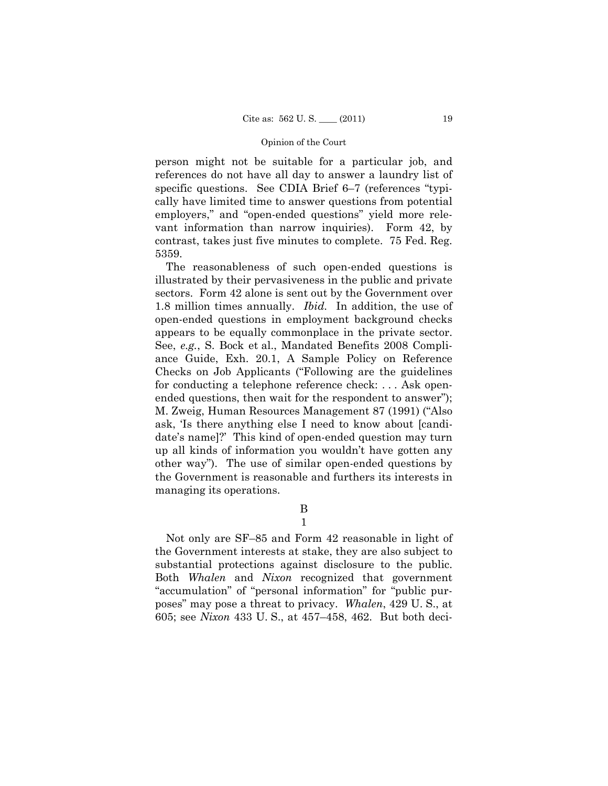person might not be suitable for a particular job, and references do not have all day to answer a laundry list of specific questions. See CDIA Brief 6–7 (references "typically have limited time to answer questions from potential employers," and "open-ended questions" yield more relevant information than narrow inquiries). Form 42, by contrast, takes just five minutes to complete. 75 Fed. Reg. 5359.

 The reasonableness of such open-ended questions is illustrated by their pervasiveness in the public and private sectors. Form 42 alone is sent out by the Government over 1.8 million times annually. *Ibid.* In addition, the use of open-ended questions in employment background checks appears to be equally commonplace in the private sector. See, *e.g.*, S. Bock et al., Mandated Benefits 2008 Compliance Guide, Exh. 20.1, A Sample Policy on Reference Checks on Job Applicants ("Following are the guidelines for conducting a telephone reference check: . . . Ask openended questions, then wait for the respondent to answer"); M. Zweig, Human Resources Management 87 (1991) ("Also ask, 'Is there anything else I need to know about [candidate's name]?' This kind of open-ended question may turn up all kinds of information you wouldn't have gotten any other way"). The use of similar open-ended questions by the Government is reasonable and furthers its interests in managing its operations.

> B 1

 Not only are SF–85 and Form 42 reasonable in light of the Government interests at stake, they are also subject to substantial protections against disclosure to the public. Both *Whalen* and *Nixon* recognized that government "accumulation" of "personal information" for "public purposes" may pose a threat to privacy. *Whalen*, 429 U. S., at 605; see *Nixon* 433 U. S., at 457–458, 462. But both deci-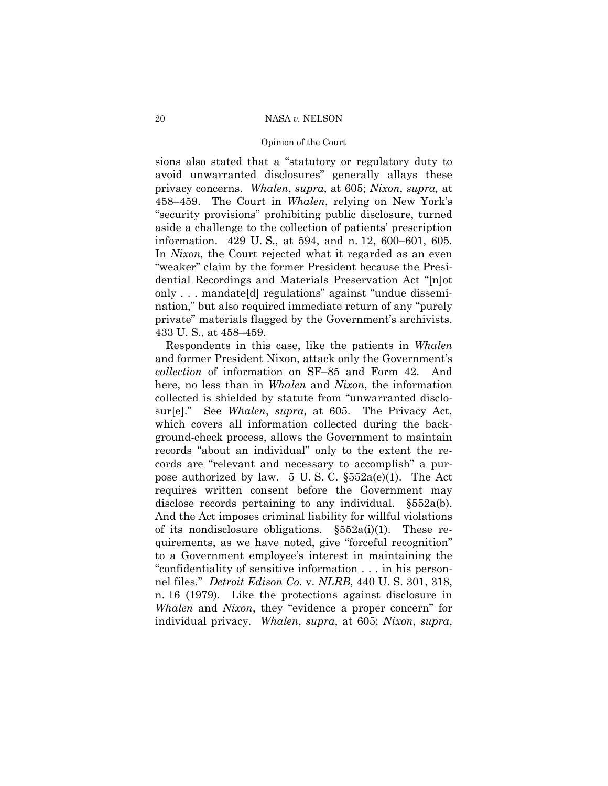## Opinion of the Court

sions also stated that a "statutory or regulatory duty to avoid unwarranted disclosures" generally allays these privacy concerns. *Whalen*, *supra*, at 605; *Nixon*, *supra,* at 458–459. The Court in *Whalen*, relying on New York's "security provisions" prohibiting public disclosure, turned aside a challenge to the collection of patients' prescription information. 429 U. S., at 594, and n. 12, 600–601, 605. In *Nixon*, the Court rejected what it regarded as an even "weaker" claim by the former President because the Presidential Recordings and Materials Preservation Act "[n]ot only . . . mandate[d] regulations" against "undue dissemination," but also required immediate return of any "purely private" materials flagged by the Government's archivists. 433 U. S., at 458–459.

 Respondents in this case, like the patients in *Whalen*  and former President Nixon, attack only the Government's *collection* of information on SF–85 and Form 42. And here, no less than in *Whalen* and *Nixon*, the information collected is shielded by statute from "unwarranted disclosur[e]." See *Whalen*, *supra,* at 605. The Privacy Act, which covers all information collected during the background-check process, allows the Government to maintain records "about an individual" only to the extent the records are "relevant and necessary to accomplish" a purpose authorized by law. 5 U.S.C.  $\S552a(e)(1)$ . The Act requires written consent before the Government may disclose records pertaining to any individual. §552a(b). And the Act imposes criminal liability for willful violations of its nondisclosure obligations.  $\S552a(i)(1)$ . These requirements, as we have noted, give "forceful recognition" to a Government employee's interest in maintaining the "confidentiality of sensitive information . . . in his personnel files." *Detroit Edison Co.* v. *NLRB*, 440 U. S. 301, 318, n. 16 (1979). Like the protections against disclosure in *Whalen* and *Nixon*, they "evidence a proper concern" for individual privacy. *Whalen*, *supra*, at 605; *Nixon*, *supra*,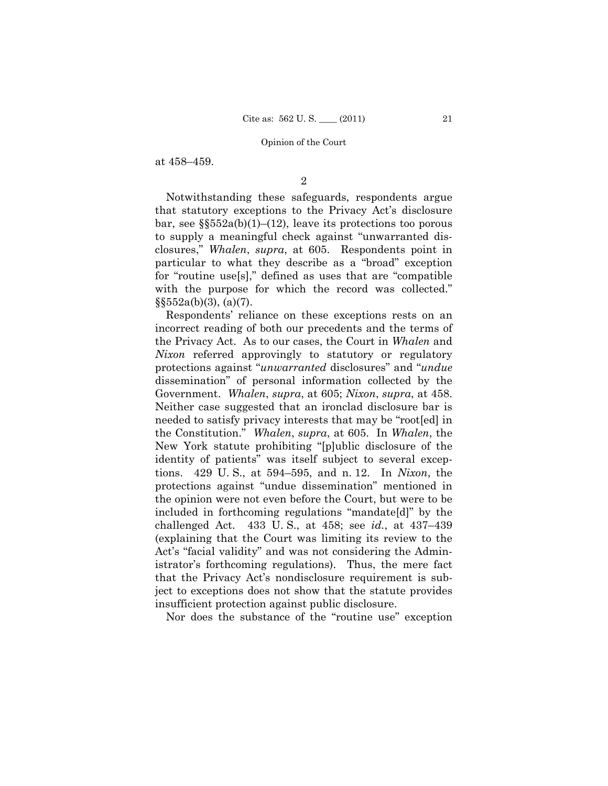at 458–459.

2

 Notwithstanding these safeguards, respondents argue that statutory exceptions to the Privacy Act's disclosure bar, see  $\S$  $552a(b)(1)$ – $(12)$ , leave its protections too porous to supply a meaningful check against "unwarranted disclosures," *Whalen*, *supra*, at 605. Respondents point in particular to what they describe as a "broad" exception for "routine use[s]," defined as uses that are "compatible with the purpose for which the record was collected."  $\S$ §552a(b)(3), (a)(7).

 Respondents' reliance on these exceptions rests on an incorrect reading of both our precedents and the terms of the Privacy Act. As to our cases, the Court in *Whalen* and *Nixon* referred approvingly to statutory or regulatory protections against "*unwarranted* disclosures" and "*undue*  dissemination" of personal information collected by the Government. *Whalen*, *supra*, at 605; *Nixon*, *supra*, at 458. Neither case suggested that an ironclad disclosure bar is needed to satisfy privacy interests that may be "root[ed] in the Constitution." *Whalen*, *supra*, at 605. In *Whalen*, the New York statute prohibiting "[p]ublic disclosure of the identity of patients" was itself subject to several exceptions. 429 U. S., at 594–595, and n. 12. In *Nixon*, the protections against "undue dissemination" mentioned in the opinion were not even before the Court, but were to be included in forthcoming regulations "mandate[d]" by the challenged Act. 433 U. S., at 458; see *id.*, at 437–439 (explaining that the Court was limiting its review to the Act's "facial validity" and was not considering the Administrator's forthcoming regulations). Thus, the mere fact that the Privacy Act's nondisclosure requirement is subject to exceptions does not show that the statute provides insufficient protection against public disclosure.

Nor does the substance of the "routine use" exception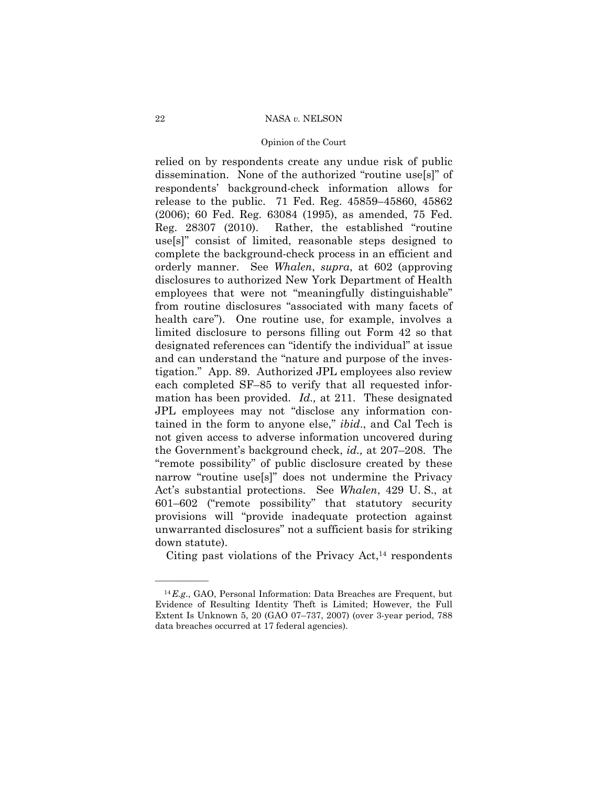## Opinion of the Court

relied on by respondents create any undue risk of public dissemination. None of the authorized "routine use[s]" of respondents' background-check information allows for release to the public. 71 Fed. Reg. 45859–45860, 45862 (2006); 60 Fed. Reg. 63084 (1995), as amended, 75 Fed. Reg. 28307 (2010). Rather, the established "routine use[s]" consist of limited, reasonable steps designed to complete the background-check process in an efficient and orderly manner. See *Whalen*, *supra*, at 602 (approving disclosures to authorized New York Department of Health employees that were not "meaningfully distinguishable" from routine disclosures "associated with many facets of health care"). One routine use, for example, involves a limited disclosure to persons filling out Form 42 so that designated references can "identify the individual" at issue and can understand the "nature and purpose of the investigation." App. 89. Authorized JPL employees also review each completed SF–85 to verify that all requested information has been provided. *Id.,* at 211. These designated JPL employees may not "disclose any information contained in the form to anyone else," *ibid*., and Cal Tech is not given access to adverse information uncovered during the Government's background check, *id.,* at 207–208. The "remote possibility" of public disclosure created by these narrow "routine use[s]" does not undermine the Privacy Act's substantial protections. See *Whalen*, 429 U. S., at 601–602 ("remote possibility" that statutory security provisions will "provide inadequate protection against unwarranted disclosures" not a sufficient basis for striking down statute).

Citing past violations of the Privacy  $Act<sub>14</sub>$  respondents

<sup>14</sup>*E.g*., GAO, Personal Information: Data Breaches are Frequent, but Evidence of Resulting Identity Theft is Limited; However, the Full Extent Is Unknown 5, 20 (GAO 07–737, 2007) (over 3-year period, 788 data breaches occurred at 17 federal agencies).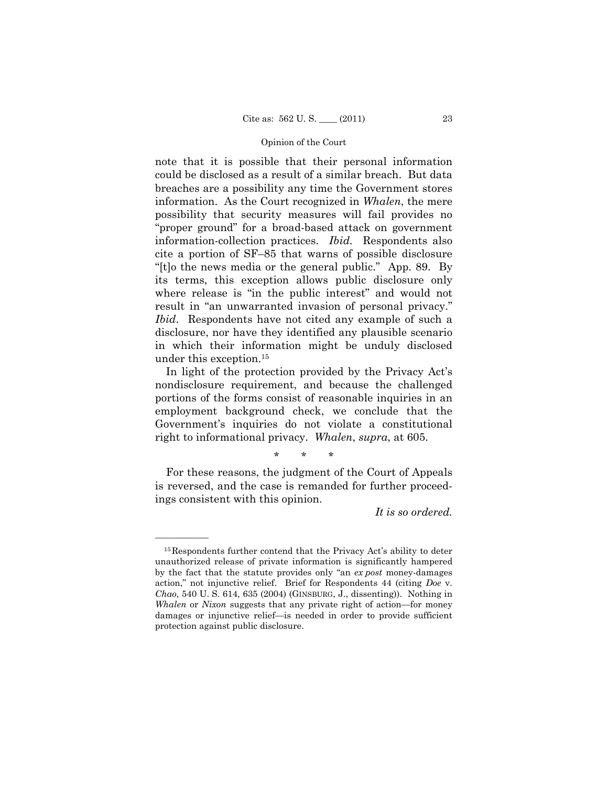note that it is possible that their personal information could be disclosed as a result of a similar breach. But data breaches are a possibility any time the Government stores information. As the Court recognized in *Whalen*, the mere possibility that security measures will fail provides no "proper ground" for a broad-based attack on government information-collection practices. *Ibid.* Respondents also cite a portion of SF–85 that warns of possible disclosure "[t]o the news media or the general public." App. 89. By its terms, this exception allows public disclosure only where release is "in the public interest" and would not result in "an unwarranted invasion of personal privacy." *Ibid*. Respondents have not cited any example of such a disclosure, nor have they identified any plausible scenario in which their information might be unduly disclosed under this exception.15

 In light of the protection provided by the Privacy Act's nondisclosure requirement, and because the challenged portions of the forms consist of reasonable inquiries in an employment background check, we conclude that the Government's inquiries do not violate a constitutional right to informational privacy. *Whalen*, *supra*, at 605.

\* \* \*

 For these reasons, the judgment of the Court of Appeals is reversed, and the case is remanded for further proceedings consistent with this opinion.

*It is so ordered.* 

<sup>&</sup>lt;sup>15</sup>Respondents further contend that the Privacy Act's ability to deter unauthorized release of private information is significantly hampered by the fact that the statute provides only "an *ex post* money-damages action," not injunctive relief. Brief for Respondents 44 (citing *Doe* v. *Chao*, 540 U. S. 614, 635 (2004) (GINSBURG, J., dissenting)). Nothing in *Whalen* or *Nixon* suggests that any private right of action—for money damages or injunctive relief—is needed in order to provide sufficient protection against public disclosure.